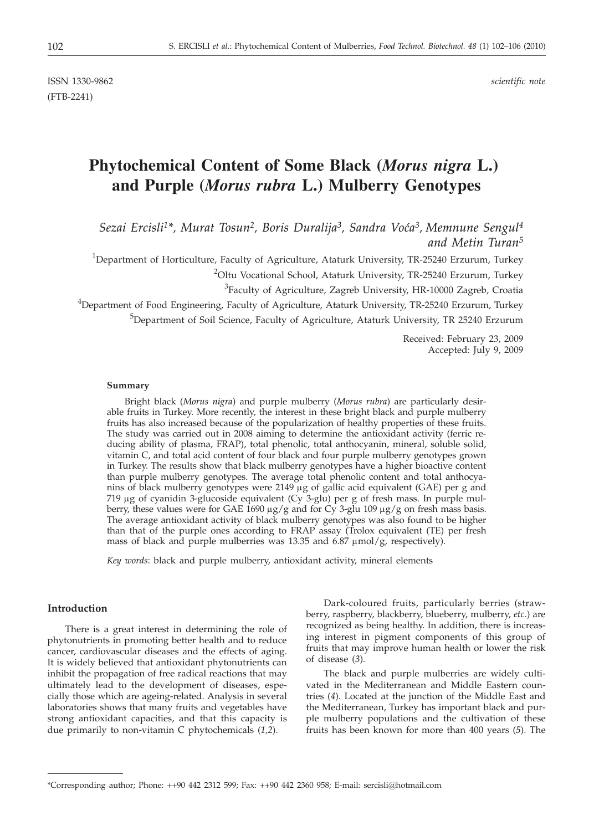ISSN 1330-9862 *scientific note* (FTB-2241)

# **Phytochemical Content of Some Black (***Morus nigra* **L.) and Purple (***Morus rubra* **L.) Mulberry Genotypes**

*Sezai Ercisli1\*, Murat Tosun2, Boris Duralija3, Sandra Vo}a3, Memnune Sengul4 and Metin Turan5*

<sup>1</sup>Department of Horticulture, Faculty of Agriculture, Ataturk University, TR-25240 Erzurum, Turkey

<sup>2</sup>Oltu Vocational School, Ataturk University, TR-25240 Erzurum, Turkey

 ${}^{3}$ Faculty of Agriculture, Zagreb University, HR-10000 Zagreb, Croatia

<sup>4</sup>Department of Food Engineering, Faculty of Agriculture, Ataturk University, TR-25240 Erzurum, Turkey

<sup>5</sup>Department of Soil Science, Faculty of Agriculture, Ataturk University, TR 25240 Erzurum

Received: February 23, 2009 Accepted: July 9, 2009

#### **Summary**

Bright black (*Morus nigra*) and purple mulberry (*Morus rubra*) are particularly desirable fruits in Turkey. More recently, the interest in these bright black and purple mulberry fruits has also increased because of the popularization of healthy properties of these fruits. The study was carried out in 2008 aiming to determine the antioxidant activity (ferric reducing ability of plasma, FRAP), total phenolic, total anthocyanin, mineral, soluble solid, vitamin C, and total acid content of four black and four purple mulberry genotypes grown in Turkey. The results show that black mulberry genotypes have a higher bioactive content than purple mulberry genotypes. The average total phenolic content and total anthocyanins of black mulberry genotypes were 2149 µg of gallic acid equivalent (GAE) per g and 719 µg of cyanidin 3-glucoside equivalent (Cy 3-glu) per g of fresh mass. In purple mulberry, these values were for GAE 1690  $\mu$ g/g and for Cy 3-glu 109  $\mu$ g/g on fresh mass basis. The average antioxidant activity of black mulberry genotypes was also found to be higher than that of the purple ones according to FRAP assay (Trolox equivalent (TE) per fresh mass of black and purple mulberries was 13.35 and  $6.87 \mu$ mol/g, respectively).

*Key words*: black and purple mulberry, antioxidant activity, mineral elements

### **Introduction**

There is a great interest in determining the role of phytonutrients in promoting better health and to reduce cancer, cardiovascular diseases and the effects of aging. It is widely believed that antioxidant phytonutrients can inhibit the propagation of free radical reactions that may ultimately lead to the development of diseases, especially those which are ageing-related. Analysis in several laboratories shows that many fruits and vegetables have strong antioxidant capacities, and that this capacity is due primarily to non-vitamin C phytochemicals (*1,2*).

Dark-coloured fruits, particularly berries (strawberry, raspberry, blackberry, blueberry, mulberry, *etc*.) are recognized as being healthy. In addition, there is increasing interest in pigment components of this group of fruits that may improve human health or lower the risk of disease (*3*).

The black and purple mulberries are widely cultivated in the Mediterranean and Middle Eastern countries (*4*). Located at the junction of the Middle East and the Mediterranean, Turkey has important black and purple mulberry populations and the cultivation of these fruits has been known for more than 400 years (*5*). The

<sup>\*</sup>Corresponding author; Phone: ++90 442 2312 599; Fax: ++90 442 2360 958; E-mail: sercisli@hotmail.com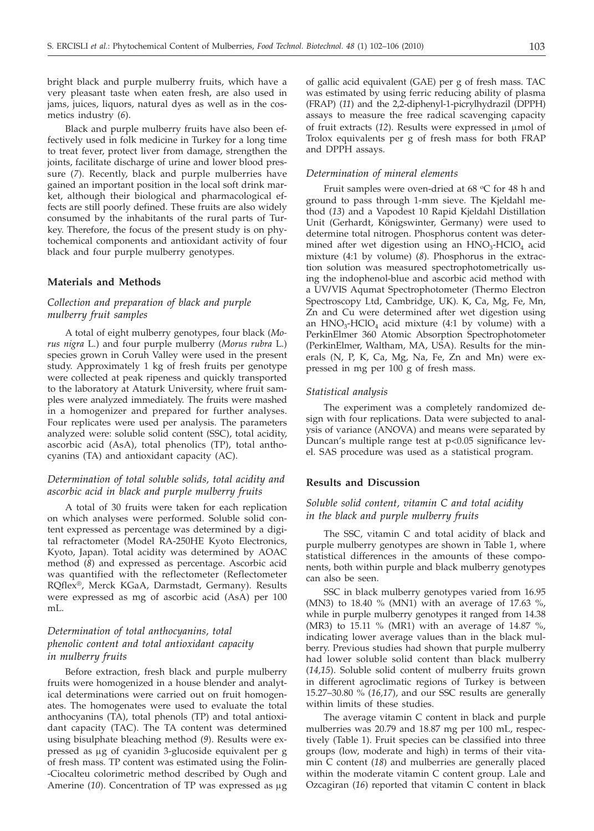bright black and purple mulberry fruits, which have a very pleasant taste when eaten fresh, are also used in jams, juices, liquors, natural dyes as well as in the cosmetics industry (*6*).

Black and purple mulberry fruits have also been effectively used in folk medicine in Turkey for a long time to treat fever, protect liver from damage, strengthen the joints, facilitate discharge of urine and lower blood pressure (*7*). Recently, black and purple mulberries have gained an important position in the local soft drink market, although their biological and pharmacological effects are still poorly defined. These fruits are also widely consumed by the inhabitants of the rural parts of Turkey. Therefore, the focus of the present study is on phytochemical components and antioxidant activity of four black and four purple mulberry genotypes.

## **Materials and Methods**

## *Collection and preparation of black and purple mulberry fruit samples*

A total of eight mulberry genotypes, four black (*Morus nigra* L.) and four purple mulberry (*Morus rubra* L.) species grown in Coruh Valley were used in the present study. Approximately 1 kg of fresh fruits per genotype were collected at peak ripeness and quickly transported to the laboratory at Ataturk University, where fruit samples were analyzed immediately. The fruits were mashed in a homogenizer and prepared for further analyses. Four replicates were used per analysis. The parameters analyzed were: soluble solid content (SSC), total acidity, ascorbic acid (AsA), total phenolics (TP), total anthocyanins (TA) and antioxidant capacity (AC).

## *Determination of total soluble solids, total acidity and ascorbic acid in black and purple mulberry fruits*

A total of 30 fruits were taken for each replication on which analyses were performed. Soluble solid content expressed as percentage was determined by a digital refractometer (Model RA-250HE Kyoto Electronics, Kyoto, Japan). Total acidity was determined by AOAC method (*8*) and expressed as percentage. Ascorbic acid was quantified with the reflectometer (Reflectometer RQflex®, Merck KGaA, Darmstadt, Germany). Results were expressed as mg of ascorbic acid (AsA) per 100 mL.

# *Determination of total anthocyanins, total phenolic content and total antioxidant capacity in mulberry fruits*

Before extraction, fresh black and purple mulberry fruits were homogenized in a house blender and analytical determinations were carried out on fruit homogenates. The homogenates were used to evaluate the total anthocyanins (TA), total phenols (TP) and total antioxidant capacity (TAC). The TA content was determined using bisulphate bleaching method (*9*). Results were expressed as µg of cyanidin 3-glucoside equivalent per g of fresh mass. TP content was estimated using the Folin- -Ciocalteu colorimetric method described by Ough and Amerine (10). Concentration of TP was expressed as  $\mu$ g

of gallic acid equivalent (GAE) per g of fresh mass. TAC was estimated by using ferric reducing ability of plasma (FRAP) (*11*) and the 2,2-diphenyl-1-picrylhydrazil (DPPH) assays to measure the free radical scavenging capacity of fruit extracts (12). Results were expressed in  $\mu$ mol of Trolox equivalents per g of fresh mass for both FRAP and DPPH assays.

#### *Determination of mineral elements*

Fruit samples were oven-dried at 68  $\mathrm{^{\circ}C}$  for 48 h and ground to pass through 1-mm sieve. The Kjeldahl method (*13*) and a Vapodest 10 Rapid Kjeldahl Distillation Unit (Gerhardt, Königswinter, Germany) were used to determine total nitrogen. Phosphorus content was determined after wet digestion using an  $HNO<sub>3</sub>-HClO<sub>4</sub>$  acid mixture (4:1 by volume) (*8*). Phosphorus in the extraction solution was measured spectrophotometrically using the indophenol-blue and ascorbic acid method with a UV**/**VIS Aqumat Spectrophotometer (Thermo Electron Spectroscopy Ltd, Cambridge, UK). K, Ca, Mg, Fe, Mn, Zn and Cu were determined after wet digestion using an  $HNO<sub>3</sub>-HClO<sub>4</sub>$  acid mixture (4:1 by volume) with a PerkinElmer 360 Atomic Absorption Spectrophotometer (PerkinElmer, Waltham, MA, USA). Results for the minerals (N, P, K, Ca, Mg, Na, Fe, Zn and Mn) were expressed in mg per 100 g of fresh mass.

#### *Statistical analysis*

The experiment was a completely randomized design with four replications. Data were subjected to analysis of variance (ANOVA) and means were separated by Duncan's multiple range test at p<0.05 significance level. SAS procedure was used as a statistical program.

## **Results and Discussion**

## *Soluble solid content, vitamin C and total acidity in the black and purple mulberry fruits*

The SSC, vitamin C and total acidity of black and purple mulberry genotypes are shown in Table 1, where statistical differences in the amounts of these components, both within purple and black mulberry genotypes can also be seen.

SSC in black mulberry genotypes varied from 16.95 (MN3) to 18.40 % (MN1) with an average of 17.63 %, while in purple mulberry genotypes it ranged from 14.38 (MR3) to 15.11 % (MR1) with an average of 14.87 %, indicating lower average values than in the black mulberry. Previous studies had shown that purple mulberry had lower soluble solid content than black mulberry (*14,15*). Soluble solid content of mulberry fruits grown in different agroclimatic regions of Turkey is between 15.27–30.80 % (*16,17*), and our SSC results are generally within limits of these studies.

The average vitamin C content in black and purple mulberries was 20.79 and 18.87 mg per 100 mL, respectively (Table 1). Fruit species can be classified into three groups (low, moderate and high) in terms of their vitamin C content (*18*) and mulberries are generally placed within the moderate vitamin C content group. Lale and Ozcagiran (*16*) reported that vitamin C content in black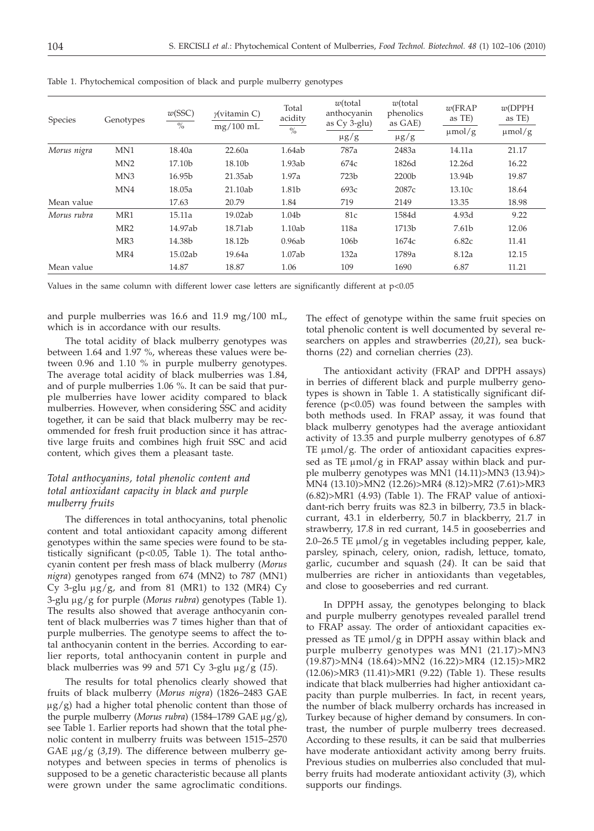| Species     | Genotypes        | w(SSC)<br>$\%$ | $\gamma$ (vitamin C)<br>$mg/100$ mL | Total<br>acidity<br>$\frac{0}{0}$ | $w$ (total<br>anthocyanin<br>as Cy 3-glu)<br>$\mu$ g/g | $w$ (total<br>phenolics<br>as GAE)<br>$\mu g/g$ | $w$ (FRAP<br>as TE)<br>$\mu$ mol/g | w(DPPH)<br>as TE)<br>$\mu$ mol/g |
|-------------|------------------|----------------|-------------------------------------|-----------------------------------|--------------------------------------------------------|-------------------------------------------------|------------------------------------|----------------------------------|
| Morus nigra | MN1              | 18.40a         | 22.60a                              | 1.64ab                            | 787a                                                   | 2483a                                           | 14.11a                             | 21.17                            |
|             | M <sub>N</sub> 2 | 17.10b         | 18.10b                              | 1.93ab                            | 674c                                                   | 1826d                                           | 12.26d                             | 16.22                            |
|             | MN <sub>3</sub>  | 16.95b         | 21.35ab                             | 1.97a                             | 723b                                                   | 2200b                                           | 13.94b                             | 19.87                            |
|             | MN4              | 18.05a         | 21.10ab                             | 1.81b                             | 693c                                                   | 2087c                                           | 13.10c                             | 18.64                            |
| Mean value  |                  | 17.63          | 20.79                               | 1.84                              | 719                                                    | 2149                                            | 13.35                              | 18.98                            |
| Morus rubra | MR1              | 15.11a         | 19.02ab                             | 1.04b                             | 81c                                                    | 1584d                                           | 4.93d                              | 9.22                             |
|             | MR <sub>2</sub>  | 14.97ab        | 18.71ab                             | 1.10ab                            | 118a                                                   | 1713b                                           | 7.61b                              | 12.06                            |
|             | MR <sub>3</sub>  | 14.38b         | 18.12b                              | 0.96ab                            | 106b                                                   | 1674c                                           | 6.82c                              | 11.41                            |
|             | MR4              | 15.02ab        | 19.64a                              | 1.07ab                            | 132a                                                   | 1789a                                           | 8.12a                              | 12.15                            |
| Mean value  |                  | 14.87          | 18.87                               | 1.06                              | 109                                                    | 1690                                            | 6.87                               | 11.21                            |

Table 1. Phytochemical composition of black and purple mulberry genotypes

Values in the same column with different lower case letters are significantly different at  $p<0.05$ 

and purple mulberries was 16.6 and 11.9 mg/100 mL, which is in accordance with our results.

The total acidity of black mulberry genotypes was between 1.64 and 1.97 %, whereas these values were between 0.96 and 1.10 % in purple mulberry genotypes. The average total acidity of black mulberries was 1.84, and of purple mulberries 1.06 %. It can be said that purple mulberries have lower acidity compared to black mulberries. However, when considering SSC and acidity together, it can be said that black mulberry may be recommended for fresh fruit production since it has attractive large fruits and combines high fruit SSC and acid content, which gives them a pleasant taste.

# *Total anthocyanins, total phenolic content and total antioxidant capacity in black and purple mulberry fruits*

The differences in total anthocyanins, total phenolic content and total antioxidant capacity among different genotypes within the same species were found to be statistically significant (p<0.05, Table 1). The total anthocyanin content per fresh mass of black mulberry (*Morus nigra*) genotypes ranged from 674 (MN2) to 787 (MN1) Cy 3-glu  $\mu$ g/g, and from 81 (MR1) to 132 (MR4) Cy 3-glu mg/g for purple (*Morus rubra*) genotypes (Table 1). The results also showed that average anthocyanin content of black mulberries was 7 times higher than that of purple mulberries. The genotype seems to affect the total anthocyanin content in the berries. According to earlier reports, total anthocyanin content in purple and black mulberries was 99 and 571 Cy 3-glu  $\mu$ g/g (15).

The results for total phenolics clearly showed that fruits of black mulberry (*Morus nigra*) (1826–2483 GAE  $\mu$ g/g) had a higher total phenolic content than those of the purple mulberry (*Morus rubra*) (1584–1789 GAE  $\mu$ g/g), see Table 1. Earlier reports had shown that the total phenolic content in mulberry fruits was between 1515–2570 GAE  $\mu$ g/g (3,19). The difference between mulberry genotypes and between species in terms of phenolics is supposed to be a genetic characteristic because all plants were grown under the same agroclimatic conditions.

The effect of genotype within the same fruit species on total phenolic content is well documented by several researchers on apples and strawberries (*20,21*), sea buckthorns (*22*) and cornelian cherries (*23*).

The antioxidant activity (FRAP and DPPH assays) in berries of different black and purple mulberry genotypes is shown in Table 1. A statistically significant difference (p<0.05) was found between the samples with both methods used. In FRAP assay, it was found that black mulberry genotypes had the average antioxidant activity of 13.35 and purple mulberry genotypes of 6.87 TE  $\mu$ mol/g. The order of antioxidant capacities expressed as TE  $\mu$ mol/g in FRAP assay within black and purple mulberry genotypes was MN1 (14.11)>MN3 (13.94)> MN4 (13.10)>MN2 (12.26)>MR4 (8.12)>MR2 (7.61)>MR3 (6.82)>MR1 (4.93) (Table 1). The FRAP value of antioxidant-rich berry fruits was 82.3 in bilberry, 73.5 in blackcurrant, 43.1 in elderberry, 50.7 in blackberry, 21.7 in strawberry, 17.8 in red currant, 14.5 in gooseberries and  $2.0$ - $26.5$  TE  $\mu$ mol/g in vegetables including pepper, kale, parsley, spinach, celery, onion, radish, lettuce, tomato, garlic, cucumber and squash (*24*). It can be said that mulberries are richer in antioxidants than vegetables, and close to gooseberries and red currant.

In DPPH assay, the genotypes belonging to black and purple mulberry genotypes revealed parallel trend to FRAP assay. The order of antioxidant capacities expressed as TE  $\mu$ mol/g in DPPH assay within black and purple mulberry genotypes was MN1 (21.17)>MN3 (19.87)>MN4 (18.64)>MN2 (16.22)>MR4 (12.15)>MR2 (12.06)>MR3 (11.41)>MR1 (9.22) (Table 1). These results indicate that black mulberries had higher antioxidant capacity than purple mulberries. In fact, in recent years, the number of black mulberry orchards has increased in Turkey because of higher demand by consumers. In contrast, the number of purple mulberry trees decreased. According to these results, it can be said that mulberries have moderate antioxidant activity among berry fruits. Previous studies on mulberries also concluded that mulberry fruits had moderate antioxidant activity (*3*), which supports our findings.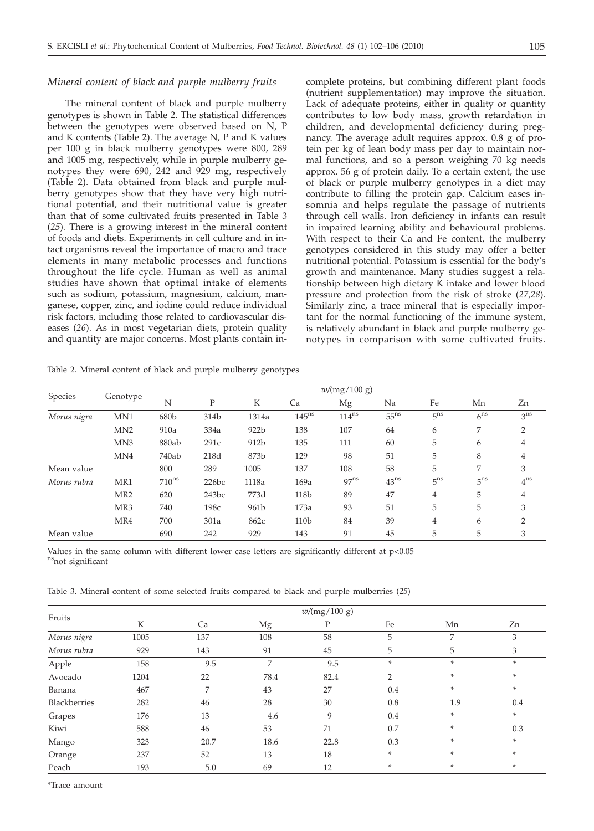## *Mineral content of black and purple mulberry fruits*

The mineral content of black and purple mulberry genotypes is shown in Table 2. The statistical differences between the genotypes were observed based on N, P and K contents (Table 2). The average N, P and K values per 100 g in black mulberry genotypes were 800, 289 and 1005 mg, respectively, while in purple mulberry genotypes they were 690, 242 and 929 mg, respectively (Table 2). Data obtained from black and purple mulberry genotypes show that they have very high nutritional potential, and their nutritional value is greater than that of some cultivated fruits presented in Table 3 (*25*). There is a growing interest in the mineral content of foods and diets. Experiments in cell culture and in intact organisms reveal the importance of macro and trace elements in many metabolic processes and functions throughout the life cycle. Human as well as animal studies have shown that optimal intake of elements such as sodium, potassium, magnesium, calcium, manganese, copper, zinc, and iodine could reduce individual risk factors, including those related to cardiovascular diseases (*26*). As in most vegetarian diets, protein quality and quantity are major concerns. Most plants contain in-

complete proteins, but combining different plant foods (nutrient supplementation) may improve the situation. Lack of adequate proteins, either in quality or quantity contributes to low body mass, growth retardation in children, and developmental deficiency during pregnancy. The average adult requires approx. 0.8 g of protein per kg of lean body mass per day to maintain normal functions, and so a person weighing 70 kg needs approx. 56 g of protein daily. To a certain extent, the use of black or purple mulberry genotypes in a diet may contribute to filling the protein gap. Calcium eases insomnia and helps regulate the passage of nutrients through cell walls. Iron deficiency in infants can result in impaired learning ability and behavioural problems. With respect to their Ca and Fe content, the mulberry genotypes considered in this study may offer a better nutritional potential. Potassium is essential for the body's growth and maintenance. Many studies suggest a relationship between high dietary K intake and lower blood pressure and protection from the risk of stroke (*27,28*). Similarly zinc, a trace mineral that is especially important for the normal functioning of the immune system, is relatively abundant in black and purple mulberry genotypes in comparison with some cultivated fruits.

Table 2. Mineral content of black and purple mulberry genotypes

| Species     | Genotype         | w/(mg/100 g) |       |                  |                   |            |           |                 |                 |                 |
|-------------|------------------|--------------|-------|------------------|-------------------|------------|-----------|-----------------|-----------------|-----------------|
|             |                  | N            | D     | K                | Ca                | Mg         | Na        | Fe              | Mn              | Zn              |
| Morus nigra | MN <sub>1</sub>  | 680b         | 314b  | 1314a            | 145 <sup>ns</sup> | $114^{ns}$ | $55^{ns}$ | 5 <sup>ns</sup> | 6 <sup>ns</sup> | 3 <sup>ns</sup> |
|             | M <sub>N</sub> 2 | 910a         | 334a  | 922 <sub>b</sub> | 138               | 107        | 64        | 6               | 7               | $\overline{2}$  |
|             | MN <sub>3</sub>  | 880ab        | 291c  | 912b             | 135               | 111        | 60        | 5               | 6               | 4               |
|             | MN4              | 740ab        | 218d  | 873b             | 129               | 98         | 51        | 5               | 8               | 4               |
| Mean value  |                  | 800          | 289   | 1005             | 137               | 108        | 58        | 5               | 7               | 3               |
| Morus rubra | MR1              | $710^{ns}$   | 226bc | 1118a            | 169a              | $97^{ns}$  | $43^{ns}$ | 5 <sup>ns</sup> | 5 <sup>ns</sup> | 4 <sup>ns</sup> |
|             | MR <sub>2</sub>  | 620          | 243bc | 773d             | 118b              | 89         | 47        | $\overline{4}$  | 5               | 4               |
|             | MR <sub>3</sub>  | 740          | 198c  | 961b             | 173a              | 93         | 51        | 5               | 5               | 3               |
|             | MR4              | 700          | 301a  | 862c             | 110b              | 84         | 39        | 4               | 6               | $\overline{2}$  |
| Mean value  |                  | 690          | 242   | 929              | 143               | 91         | 45        | 5               | 5               | 3               |

Values in the same column with different lower case letters are significantly different at p<0.05 <sup>ns</sup>not significant

Table 3. Mineral content of some selected fruits compared to black and purple mulberries (*25*)

| Fruits       | w/(mg/100 g) |      |      |      |     |        |        |  |  |
|--------------|--------------|------|------|------|-----|--------|--------|--|--|
|              | K            | Ca   | Mg   | Ρ    | Fe  | Mn     | Zn     |  |  |
| Morus nigra  | 1005         | 137  | 108  | 58   | 5   | 7      | 3      |  |  |
| Morus rubra  | 929          | 143  | 91   | 45   | 5   | 5      | 3      |  |  |
| Apple        | 158          | 9.5  | 7    | 9.5  | ×   | ÷      | *      |  |  |
| Avocado      | 1204         | 22   | 78.4 | 82.4 | 2   | ×      | $\ast$ |  |  |
| Banana       | 467          | 7    | 43   | 27   | 0.4 | $\ast$ | *      |  |  |
| Blackberries | 282          | 46   | 28   | 30   | 0.8 | 1.9    | 0.4    |  |  |
| Grapes       | 176          | 13   | 4.6  | 9    | 0.4 | ×      | ×      |  |  |
| Kiwi         | 588          | 46   | 53   | 71   | 0.7 | ×      | 0.3    |  |  |
| Mango        | 323          | 20.7 | 18.6 | 22.8 | 0.3 | $\ast$ | ×      |  |  |
| Orange       | 237          | 52   | 13   | 18   | ×   | ×      | ×      |  |  |
| Peach        | 193          | 5.0  | 69   | 12   | *   |        | *      |  |  |

\*Trace amount